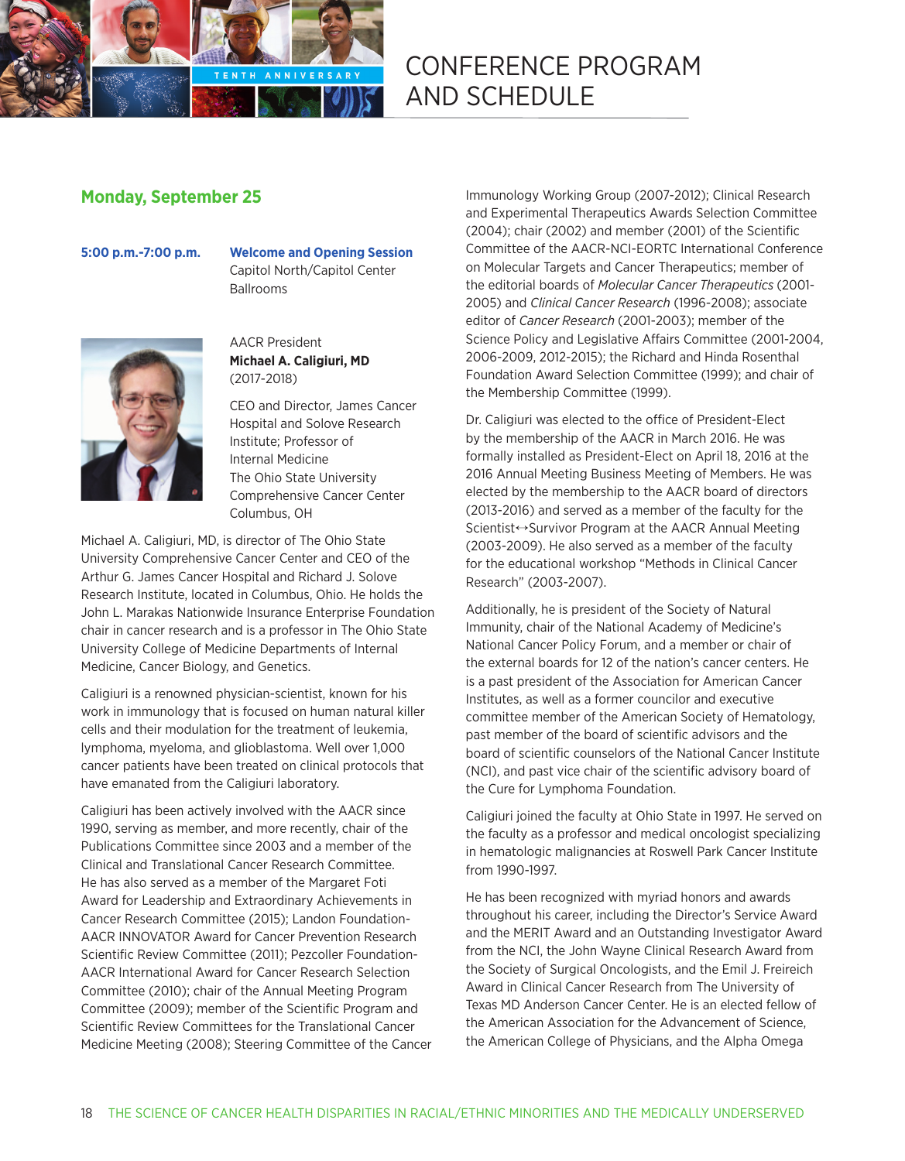

# **Monday, September 25**

**5:00 p.m.-7:00 p.m. Welcome and Opening Session** Capitol North/Capitol Center Ballrooms



#### AACR President **Michael A. Caligiuri, MD** (2017-2018)

CEO and Director, James Cancer Hospital and Solove Research Institute; Professor of Internal Medicine The Ohio State University Comprehensive Cancer Center Columbus, OH

Michael A. Caligiuri, MD, is director of The Ohio State University Comprehensive Cancer Center and CEO of the Arthur G. James Cancer Hospital and Richard J. Solove Research Institute, located in Columbus, Ohio. He holds the John L. Marakas Nationwide Insurance Enterprise Foundation chair in cancer research and is a professor in The Ohio State University College of Medicine Departments of Internal Medicine, Cancer Biology, and Genetics.

Caligiuri is a renowned physician-scientist, known for his work in immunology that is focused on human natural killer cells and their modulation for the treatment of leukemia, lymphoma, myeloma, and glioblastoma. Well over 1,000 cancer patients have been treated on clinical protocols that have emanated from the Caligiuri laboratory.

Caligiuri has been actively involved with the AACR since 1990, serving as member, and more recently, chair of the Publications Committee since 2003 and a member of the Clinical and Translational Cancer Research Committee. He has also served as a member of the Margaret Foti Award for Leadership and Extraordinary Achievements in Cancer Research Committee (2015); Landon Foundation-AACR INNOVATOR Award for Cancer Prevention Research Scientific Review Committee (2011); Pezcoller Foundation-AACR International Award for Cancer Research Selection Committee (2010); chair of the Annual Meeting Program Committee (2009); member of the Scientific Program and Scientific Review Committees for the Translational Cancer Medicine Meeting (2008); Steering Committee of the Cancer Immunology Working Group (2007-2012); Clinical Research and Experimental Therapeutics Awards Selection Committee (2004); chair (2002) and member (2001) of the Scientific Committee of the AACR-NCI-EORTC International Conference on Molecular Targets and Cancer Therapeutics; member of the editorial boards of *Molecular Cancer Therapeutics* (2001- 2005) and *Clinical Cancer Research* (1996-2008); associate editor of *Cancer Research* (2001-2003); member of the Science Policy and Legislative Affairs Committee (2001-2004, 2006-2009, 2012-2015); the Richard and Hinda Rosenthal Foundation Award Selection Committee (1999); and chair of the Membership Committee (1999).

Dr. Caligiuri was elected to the office of President-Elect by the membership of the AACR in March 2016. He was formally installed as President-Elect on April 18, 2016 at the 2016 Annual Meeting Business Meeting of Members. He was elected by the membership to the AACR board of directors (2013-2016) and served as a member of the faculty for the Scientist→Survivor Program at the AACR Annual Meeting (2003-2009). He also served as a member of the faculty for the educational workshop "Methods in Clinical Cancer Research" (2003-2007).

Additionally, he is president of the Society of Natural Immunity, chair of the National Academy of Medicine's National Cancer Policy Forum, and a member or chair of the external boards for 12 of the nation's cancer centers. He is a past president of the Association for American Cancer Institutes, as well as a former councilor and executive committee member of the American Society of Hematology, past member of the board of scientific advisors and the board of scientific counselors of the National Cancer Institute (NCI), and past vice chair of the scientific advisory board of the Cure for Lymphoma Foundation.

Caligiuri joined the faculty at Ohio State in 1997. He served on the faculty as a professor and medical oncologist specializing in hematologic malignancies at Roswell Park Cancer Institute from 1990-1997.

He has been recognized with myriad honors and awards throughout his career, including the Director's Service Award and the MERIT Award and an Outstanding Investigator Award from the NCI, the John Wayne Clinical Research Award from the Society of Surgical Oncologists, and the Emil J. Freireich Award in Clinical Cancer Research from The University of Texas MD Anderson Cancer Center. He is an elected fellow of the American Association for the Advancement of Science, the American College of Physicians, and the Alpha Omega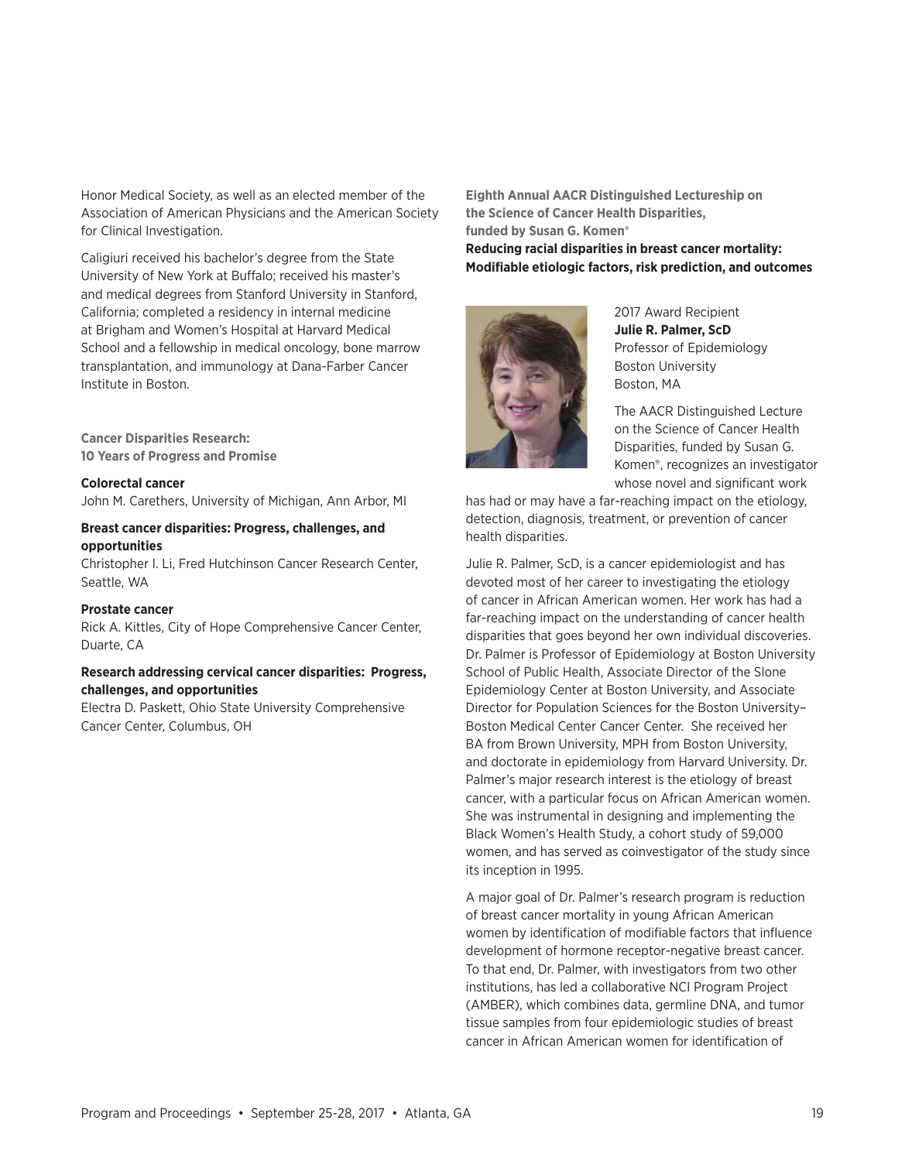Honor Medical Society, as well as an elected member of the Association of American Physicians and the American Society for Clinical Investigation.

Caligiuri received his bachelor's degree from the State University of New York at Buffalo; received his master's and medical degrees from Stanford University in Stanford, California; completed a residency in internal medicine at Brigham and Women's Hospital at Harvard Medical School and a fellowship in medical oncology, bone marrow transplantation, and immunology at Dana-Farber Cancer Institute in Boston.

**Cancer Disparities Research: 10 Years of Progress and Promise**

#### **Colorectal cancer**

John M. Carethers, University of Michigan, Ann Arbor, MI

#### **Breast cancer disparities: Progress, challenges, and opportunities**

Christopher I. Li, Fred Hutchinson Cancer Research Center, Seattle, WA

#### **Prostate cancer**

Rick A. Kittles, City of Hope Comprehensive Cancer Center, Duarte, CA

#### **Research addressing cervical cancer disparities: Progress, challenges, and opportunities**

Electra D. Paskett, Ohio State University Comprehensive Cancer Center, Columbus, OH

**Eighth Annual AACR Distinguished Lectureship on the Science of Cancer Health Disparities, funded by Susan G. Komen®**

**Reducing racial disparities in breast cancer mortality: Modifiable etiologic factors, risk prediction, and outcomes** 



2017 Award Recipient **Julie R. Palmer, ScD** Professor of Epidemiology Boston University Boston, MA

The AACR Distinguished Lecture on the Science of Cancer Health Disparities, funded by Susan G. Komen®, recognizes an investigator whose novel and significant work

has had or may have a far-reaching impact on the etiology, detection, diagnosis, treatment, or prevention of cancer health disparities.

Julie R. Palmer, ScD, is a cancer epidemiologist and has devoted most of her career to investigating the etiology of cancer in African American women. Her work has had a far-reaching impact on the understanding of cancer health disparities that goes beyond her own individual discoveries. Dr. Palmer is Professor of Epidemiology at Boston University School of Public Health, Associate Director of the Slone Epidemiology Center at Boston University, and Associate Director for Population Sciences for the Boston University– Boston Medical Center Cancer Center. She received her BA from Brown University, MPH from Boston University, and doctorate in epidemiology from Harvard University. Dr. Palmer's major research interest is the etiology of breast cancer, with a particular focus on African American women. She was instrumental in designing and implementing the Black Women's Health Study, a cohort study of 59,000 women, and has served as coinvestigator of the study since its inception in 1995.

A major goal of Dr. Palmer's research program is reduction of breast cancer mortality in young African American women by identification of modifiable factors that influence development of hormone receptor-negative breast cancer. To that end, Dr. Palmer, with investigators from two other institutions, has led a collaborative NCI Program Project (AMBER), which combines data, germline DNA, and tumor tissue samples from four epidemiologic studies of breast cancer in African American women for identification of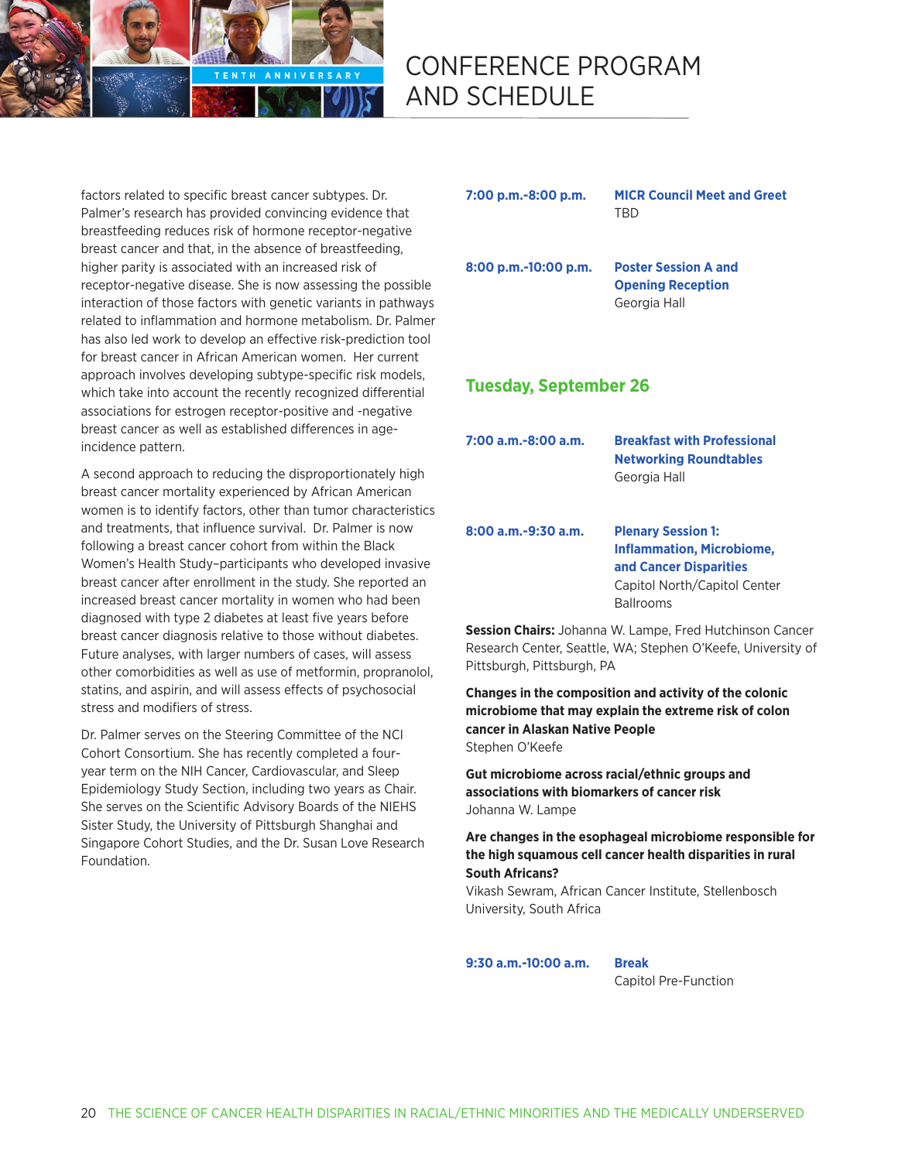

factors related to specific breast cancer subtypes. Dr. Palmer's research has provided convincing evidence that breastfeeding reduces risk of hormone receptor-negative breast cancer and that, in the absence of breastfeeding, higher parity is associated with an increased risk of receptor-negative disease. She is now assessing the possible interaction of those factors with genetic variants in pathways related to inflammation and hormone metabolism. Dr. Palmer has also led work to develop an effective risk-prediction tool for breast cancer in African American women. Her current approach involves developing subtype-specific risk models, which take into account the recently recognized differential associations for estrogen receptor-positive and -negative breast cancer as well as established differences in ageincidence pattern.

A second approach to reducing the disproportionately high breast cancer mortality experienced by African American women is to identify factors, other than tumor characteristics and treatments, that influence survival. Dr. Palmer is now following a breast cancer cohort from within the Black Women's Health Study–participants who developed invasive breast cancer after enrollment in the study. She reported an increased breast cancer mortality in women who had been diagnosed with type 2 diabetes at least five years before breast cancer diagnosis relative to those without diabetes. Future analyses, with larger numbers of cases, will assess other comorbidities as well as use of metformin, propranolol, statins, and aspirin, and will assess effects of psychosocial stress and modifiers of stress.

Dr. Palmer serves on the Steering Committee of the NCI Cohort Consortium. She has recently completed a fouryear term on the NIH Cancer, Cardiovascular, and Sleep Epidemiology Study Section, including two years as Chair. She serves on the Scientific Advisory Boards of the NIEHS Sister Study, the University of Pittsburgh Shanghai and Singapore Cohort Studies, and the Dr. Susan Love Research Foundation.

**7:00 p.m.-8:00 p.m. MICR Council Meet and Greet TRD** 

**8:00 p.m.-10:00 p.m. Poster Session A and Opening Reception**  Georgia Hall

# **Tuesday, September 26**

| 7:00 a.m.-8:00 a.m. | <b>Breakfast with Professional</b><br><b>Networking Roundtables</b><br>Georgia Hall |
|---------------------|-------------------------------------------------------------------------------------|
| 8:00 a.m.-9:30 a.m. | <b>Plenary Session 1:</b><br>ta Alemania ettea - NAI en elettea et                  |

**Inflammation, Microbiome, and Cancer Disparities** Capitol North/Capitol Center Ballrooms

**Session Chairs:** Johanna W. Lampe, Fred Hutchinson Cancer Research Center, Seattle, WA; Stephen O'Keefe, University of Pittsburgh, Pittsburgh, PA

**Changes in the composition and activity of the colonic microbiome that may explain the extreme risk of colon cancer in Alaskan Native People** Stephen O'Keefe

**Gut microbiome across racial/ethnic groups and associations with biomarkers of cancer risk** Johanna W. Lampe

**Are changes in the esophageal microbiome responsible for the high squamous cell cancer health disparities in rural South Africans?**

Vikash Sewram, African Cancer Institute, Stellenbosch University, South Africa

**9:30 a.m.-10:00 a.m. Break**

Capitol Pre-Function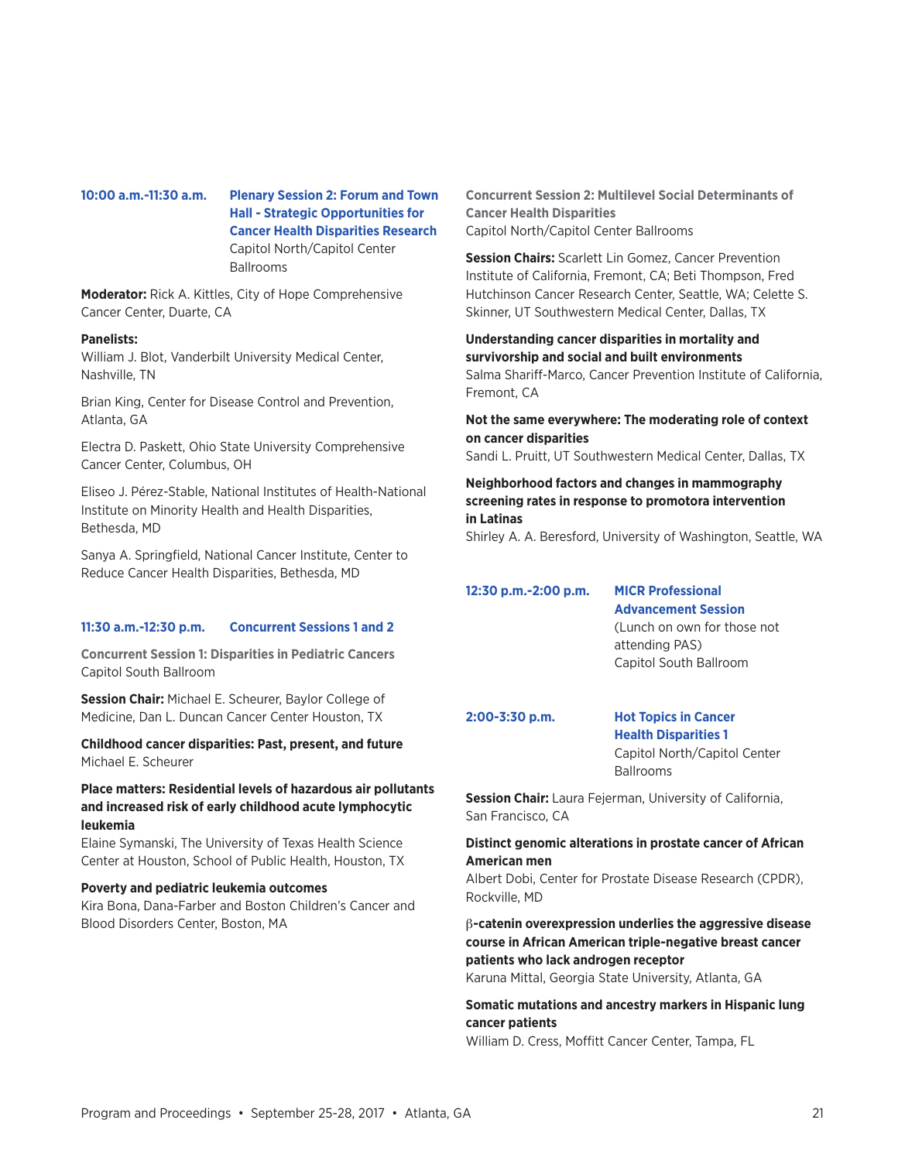# **10:00 a.m.-11:30 a.m. Plenary Session 2: Forum and Town Hall - Strategic Opportunities for**

**Cancer Health Disparities Research** Capitol North/Capitol Center Ballrooms

**Moderator:** Rick A. Kittles, City of Hope Comprehensive Cancer Center, Duarte, CA

#### **Panelists:**

William J. Blot, Vanderbilt University Medical Center, Nashville, TN

Brian King, Center for Disease Control and Prevention, Atlanta, GA

Electra D. Paskett, Ohio State University Comprehensive Cancer Center, Columbus, OH

Eliseo J. Pérez-Stable, National Institutes of Health-National Institute on Minority Health and Health Disparities, Bethesda, MD

Sanya A. Springfield, National Cancer Institute, Center to Reduce Cancer Health Disparities, Bethesda, MD

#### **11:30 a.m.-12:30 p.m. Concurrent Sessions 1 and 2**

**Concurrent Session 1: Disparities in Pediatric Cancers** Capitol South Ballroom

**Session Chair:** Michael E. Scheurer, Baylor College of Medicine, Dan L. Duncan Cancer Center Houston, TX

**Childhood cancer disparities: Past, present, and future**  Michael E. Scheurer

#### **Place matters: Residential levels of hazardous air pollutants and increased risk of early childhood acute lymphocytic leukemia**

Elaine Symanski, The University of Texas Health Science Center at Houston, School of Public Health, Houston, TX

#### **Poverty and pediatric leukemia outcomes**

Kira Bona, Dana-Farber and Boston Children's Cancer and Blood Disorders Center, Boston, MA

**Concurrent Session 2: Multilevel Social Determinants of Cancer Health Disparities** Capitol North/Capitol Center Ballrooms

**Session Chairs:** Scarlett Lin Gomez, Cancer Prevention Institute of California, Fremont, CA; Beti Thompson, Fred Hutchinson Cancer Research Center, Seattle, WA; Celette S. Skinner, UT Southwestern Medical Center, Dallas, TX

#### **Understanding cancer disparities in mortality and survivorship and social and built environments**

Salma Shariff-Marco, Cancer Prevention Institute of California, Fremont, CA

#### **Not the same everywhere: The moderating role of context on cancer disparities**

Sandi L. Pruitt, UT Southwestern Medical Center, Dallas, TX

#### **Neighborhood factors and changes in mammography screening rates in response to promotora intervention in Latinas**

Shirley A. A. Beresford, University of Washington, Seattle, WA

#### **12:30 p.m.-2:00 p.m. MICR Professional**

# **Advancement Session**

(Lunch on own for those not attending PAS) Capitol South Ballroom

#### **2:00-3:30 p.m. Hot Topics in Cancer Health Disparities 1** Capitol North/Capitol Center

Ballrooms

**Session Chair:** Laura Fejerman, University of California, San Francisco, CA

#### **Distinct genomic alterations in prostate cancer of African American men**

Albert Dobi, Center for Prostate Disease Research (CPDR), Rockville, MD

## β**-catenin overexpression underlies the aggressive disease course in African American triple-negative breast cancer patients who lack androgen receptor**

Karuna Mittal, Georgia State University, Atlanta, GA

#### **Somatic mutations and ancestry markers in Hispanic lung cancer patients**

William D. Cress, Moffitt Cancer Center, Tampa, FL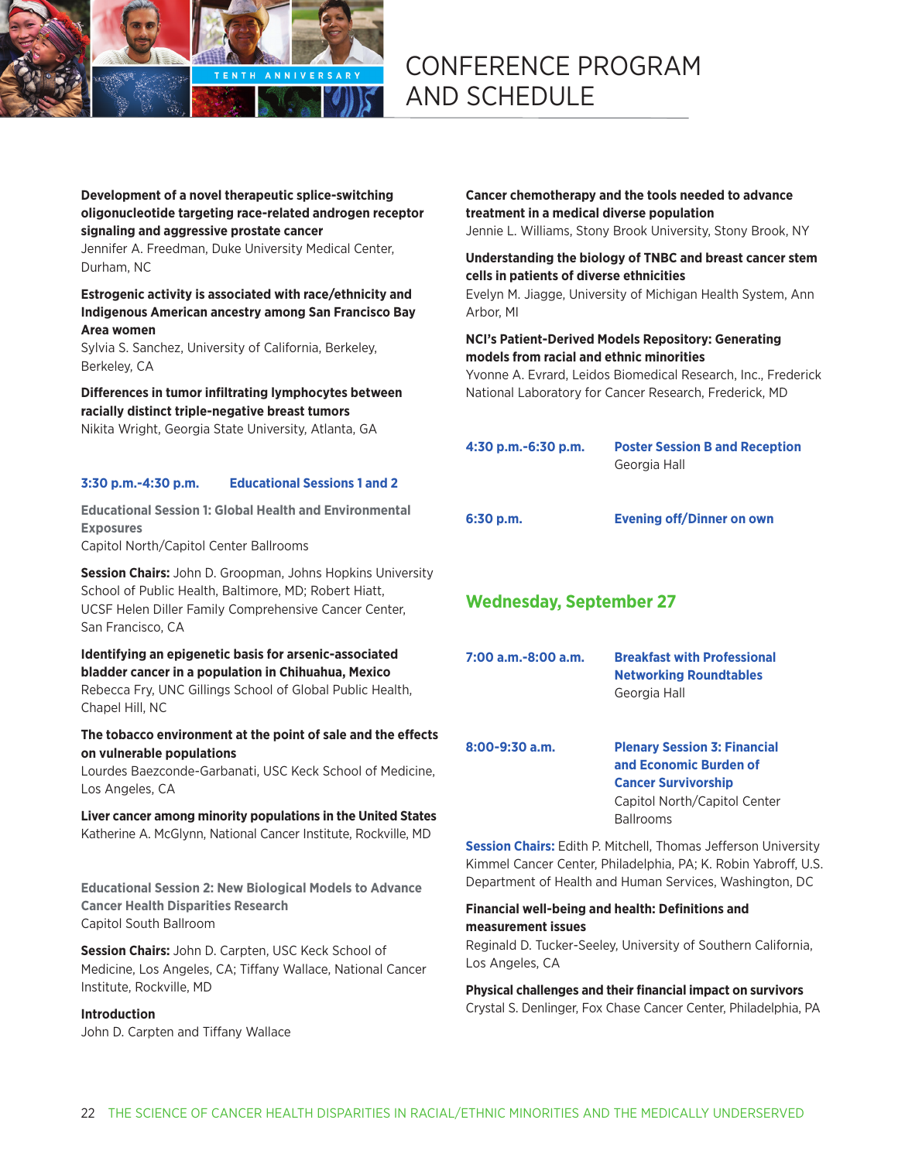

#### **Development of a novel therapeutic splice-switching oligonucleotide targeting race-related androgen receptor signaling and aggressive prostate cancer**

Jennifer A. Freedman, Duke University Medical Center, Durham, NC

#### **Estrogenic activity is associated with race/ethnicity and Indigenous American ancestry among San Francisco Bay Area women**

Sylvia S. Sanchez, University of California, Berkeley, Berkeley, CA

## **Differences in tumor infiltrating lymphocytes between racially distinct triple-negative breast tumors**

Nikita Wright, Georgia State University, Atlanta, GA

#### **3:30 p.m.-4:30 p.m. Educational Sessions 1 and 2**

**Educational Session 1: Global Health and Environmental Exposures** Capitol North/Capitol Center Ballrooms

**Session Chairs:** John D. Groopman, Johns Hopkins University School of Public Health, Baltimore, MD; Robert Hiatt, UCSF Helen Diller Family Comprehensive Cancer Center, San Francisco, CA

# **Identifying an epigenetic basis for arsenic-associated bladder cancer in a population in Chihuahua, Mexico**

Rebecca Fry, UNC Gillings School of Global Public Health, Chapel Hill, NC

#### **The tobacco environment at the point of sale and the effects on vulnerable populations**

Lourdes Baezconde-Garbanati, USC Keck School of Medicine, Los Angeles, CA

**Liver cancer among minority populations in the United States** Katherine A. McGlynn, National Cancer Institute, Rockville, MD

**Educational Session 2: New Biological Models to Advance Cancer Health Disparities Research** Capitol South Ballroom

**Session Chairs:** John D. Carpten, USC Keck School of Medicine, Los Angeles, CA; Tiffany Wallace, National Cancer Institute, Rockville, MD

#### **Introduction**

John D. Carpten and Tiffany Wallace

**Cancer chemotherapy and the tools needed to advance treatment in a medical diverse population** Jennie L. Williams, Stony Brook University, Stony Brook, NY

#### **Understanding the biology of TNBC and breast cancer stem cells in patients of diverse ethnicities**

Evelyn M. Jiagge, University of Michigan Health System, Ann Arbor, MI

### **NCI's Patient-Derived Models Repository: Generating models from racial and ethnic minorities**

Yvonne A. Evrard, Leidos Biomedical Research, Inc., Frederick National Laboratory for Cancer Research, Frederick, MD

**4:30 p.m.-6:30 p.m. Poster Session B and Reception** Georgia Hall

**6:30 p.m. Evening off/Dinner on own**

# **Wednesday, September 27**

| 7:00 a.m.-8:00 a.m. | <b>Breakfast with Professional</b> |
|---------------------|------------------------------------|
|                     | <b>Networking Roundtables</b>      |
|                     | Georgia Hall                       |

**8:00-9:30 a.m. Plenary Session 3: Financial and Economic Burden of Cancer Survivorship** Capitol North/Capitol Center Ballrooms

**Session Chairs:** Edith P. Mitchell, Thomas Jefferson University Kimmel Cancer Center, Philadelphia, PA; K. Robin Yabroff, U.S. Department of Health and Human Services, Washington, DC

#### **Financial well-being and health: Definitions and measurement issues**

Reginald D. Tucker-Seeley, University of Southern California, Los Angeles, CA

**Physical challenges and their financial impact on survivors** Crystal S. Denlinger, Fox Chase Cancer Center, Philadelphia, PA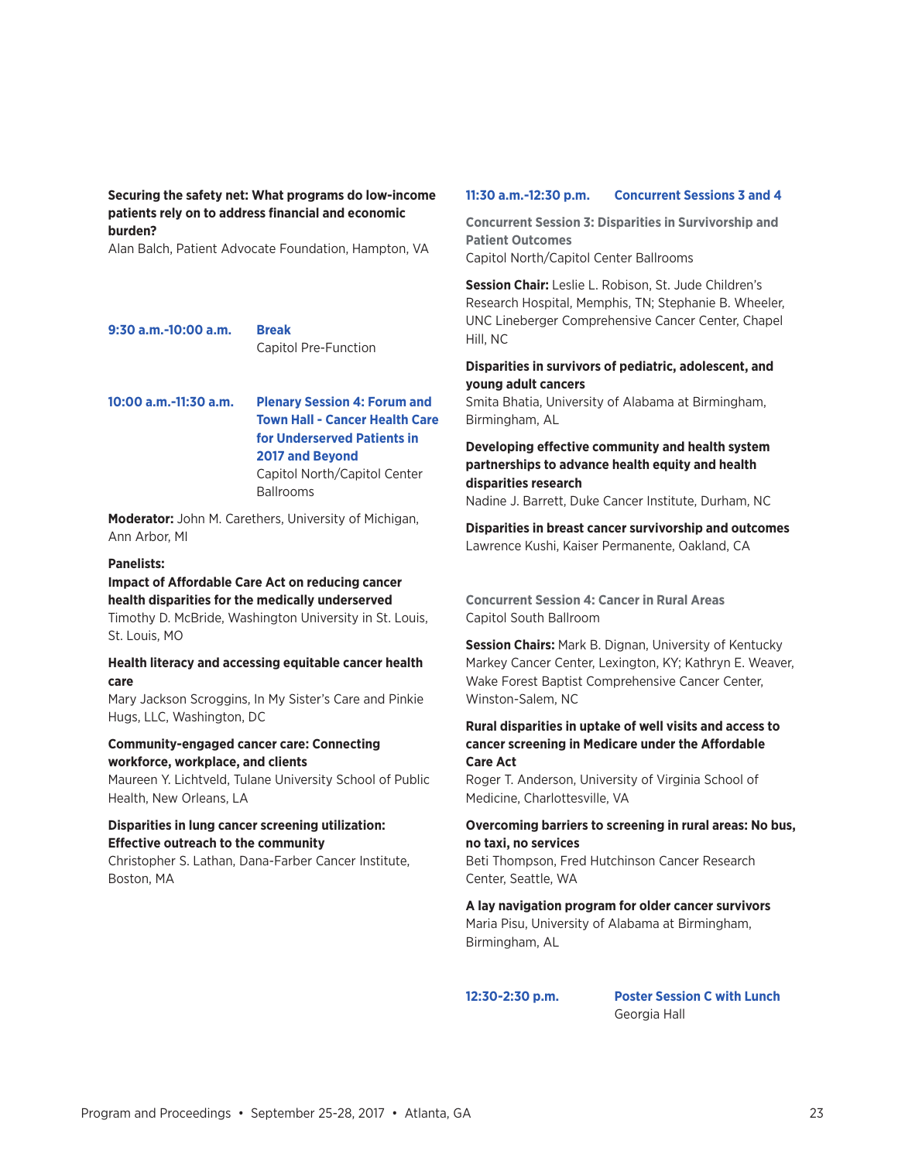#### **Securing the safety net: What programs do low-income patients rely on to address financial and economic burden?**

Alan Balch, Patient Advocate Foundation, Hampton, VA

**9:30 a.m.-10:00 a.m. Break** Capitol Pre-Function

#### **10:00 a.m.-11:30 a.m. Plenary Session 4: Forum and Town Hall - Cancer Health Care for Underserved Patients in 2017 and Beyond**  Capitol North/Capitol Center

Ballrooms

**Moderator:** John M. Carethers, University of Michigan, Ann Arbor, MI

#### **Panelists:**

# **Impact of Affordable Care Act on reducing cancer health disparities for the medically underserved**

Timothy D. McBride, Washington University in St. Louis, St. Louis, MO

#### **Health literacy and accessing equitable cancer health care**

Mary Jackson Scroggins, In My Sister's Care and Pinkie Hugs, LLC, Washington, DC

#### **Community-engaged cancer care: Connecting workforce, workplace, and clients**

Maureen Y. Lichtveld, Tulane University School of Public Health, New Orleans, LA

#### **Disparities in lung cancer screening utilization: Effective outreach to the community**

Christopher S. Lathan, Dana-Farber Cancer Institute, Boston, MA

#### **11:30 a.m.-12:30 p.m. Concurrent Sessions 3 and 4**

**Concurrent Session 3: Disparities in Survivorship and Patient Outcomes** Capitol North/Capitol Center Ballrooms

**Session Chair:** Leslie L. Robison, St. Jude Children's Research Hospital, Memphis, TN; Stephanie B. Wheeler, UNC Lineberger Comprehensive Cancer Center, Chapel Hill, NC

#### **Disparities in survivors of pediatric, adolescent, and young adult cancers**

Smita Bhatia, University of Alabama at Birmingham, Birmingham, AL

## **Developing effective community and health system partnerships to advance health equity and health disparities research**

Nadine J. Barrett, Duke Cancer Institute, Durham, NC

**Disparities in breast cancer survivorship and outcomes** Lawrence Kushi, Kaiser Permanente, Oakland, CA

**Concurrent Session 4: Cancer in Rural Areas** Capitol South Ballroom

**Session Chairs:** Mark B. Dignan, University of Kentucky Markey Cancer Center, Lexington, KY; Kathryn E. Weaver, Wake Forest Baptist Comprehensive Cancer Center, Winston-Salem, NC

#### **Rural disparities in uptake of well visits and access to cancer screening in Medicare under the Affordable Care Act**

Roger T. Anderson, University of Virginia School of Medicine, Charlottesville, VA

#### **Overcoming barriers to screening in rural areas: No bus, no taxi, no services**

Beti Thompson, Fred Hutchinson Cancer Research Center, Seattle, WA

#### **A lay navigation program for older cancer survivors**

Maria Pisu, University of Alabama at Birmingham, Birmingham, AL

**12:30-2:30 p.m. Poster Session C with Lunch** Georgia Hall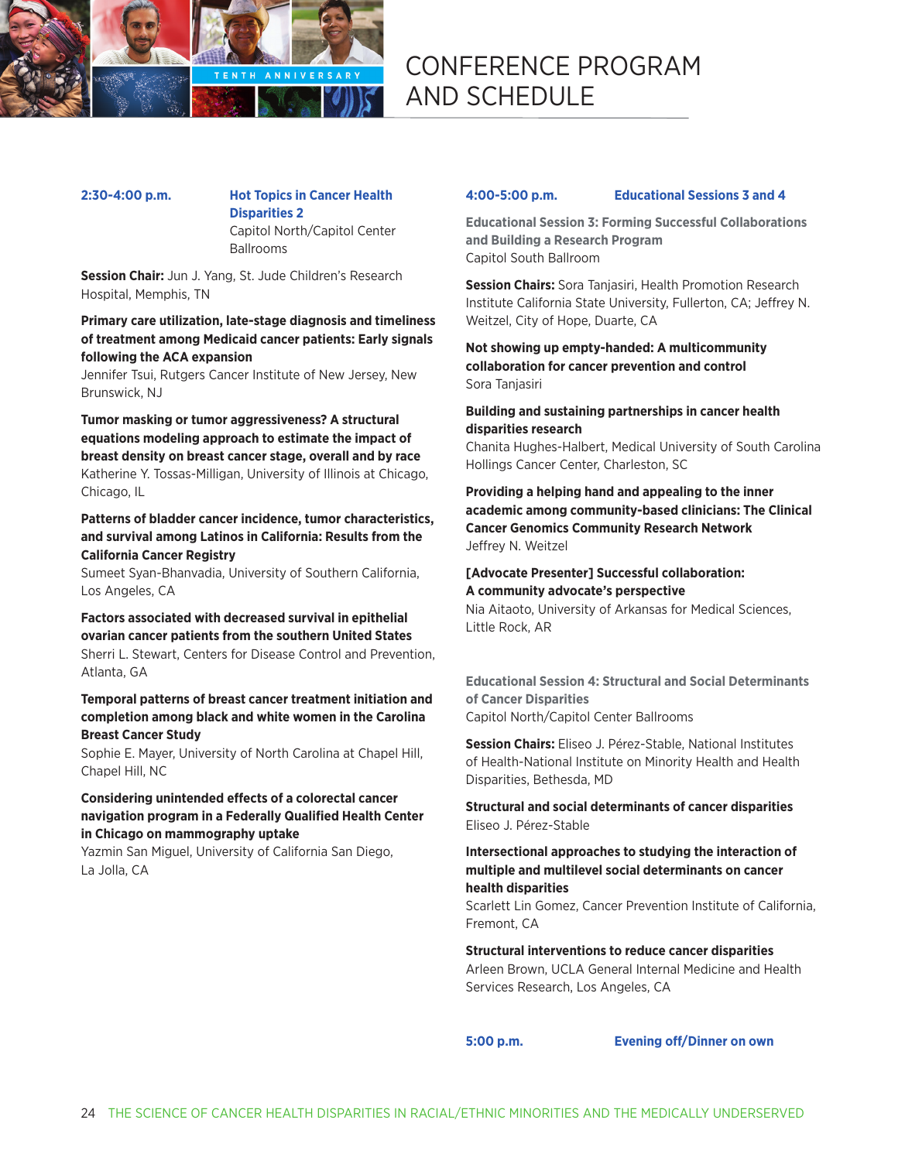

# **2:30-4:00 p.m. Hot Topics in Cancer Health Disparities 2**

Capitol North/Capitol Center **Ballrooms** 

**Session Chair:** Jun J. Yang, St. Jude Children's Research Hospital, Memphis, TN

#### **Primary care utilization, late-stage diagnosis and timeliness of treatment among Medicaid cancer patients: Early signals following the ACA expansion**

Jennifer Tsui, Rutgers Cancer Institute of New Jersey, New Brunswick, NJ

**Tumor masking or tumor aggressiveness? A structural equations modeling approach to estimate the impact of breast density on breast cancer stage, overall and by race** Katherine Y. Tossas-Milligan, University of Illinois at Chicago, Chicago, IL

#### **Patterns of bladder cancer incidence, tumor characteristics, and survival among Latinos in California: Results from the California Cancer Registry**

Sumeet Syan-Bhanvadia, University of Southern California, Los Angeles, CA

#### **Factors associated with decreased survival in epithelial ovarian cancer patients from the southern United States** Sherri L. Stewart, Centers for Disease Control and Prevention, Atlanta, GA

#### **Temporal patterns of breast cancer treatment initiation and completion among black and white women in the Carolina Breast Cancer Study**

Sophie E. Mayer, University of North Carolina at Chapel Hill, Chapel Hill, NC

#### **Considering unintended effects of a colorectal cancer navigation program in a Federally Qualified Health Center in Chicago on mammography uptake**

Yazmin San Miguel, University of California San Diego, La Jolla, CA

#### **4:00-5:00 p.m. Educational Sessions 3 and 4**

**Educational Session 3: Forming Successful Collaborations and Building a Research Program** Capitol South Ballroom

**Session Chairs:** Sora Tanjasiri, Health Promotion Research Institute California State University, Fullerton, CA; Jeffrey N. Weitzel, City of Hope, Duarte, CA

**Not showing up empty-handed: A multicommunity collaboration for cancer prevention and control** Sora Tanjasiri

#### **Building and sustaining partnerships in cancer health disparities research**

Chanita Hughes-Halbert, Medical University of South Carolina Hollings Cancer Center, Charleston, SC

**Providing a helping hand and appealing to the inner academic among community-based clinicians: The Clinical Cancer Genomics Community Research Network** Jeffrey N. Weitzel

#### **[Advocate Presenter] Successful collaboration: A community advocate's perspective**

Nia Aitaoto, University of Arkansas for Medical Sciences, Little Rock, AR

**Educational Session 4: Structural and Social Determinants of Cancer Disparities** Capitol North/Capitol Center Ballrooms

**Session Chairs:** Eliseo J. Pérez-Stable, National Institutes of Health-National Institute on Minority Health and Health Disparities, Bethesda, MD

**Structural and social determinants of cancer disparities** Eliseo J. Pérez-Stable

#### **Intersectional approaches to studying the interaction of multiple and multilevel social determinants on cancer health disparities**

Scarlett Lin Gomez, Cancer Prevention Institute of California, Fremont, CA

#### **Structural interventions to reduce cancer disparities**

Arleen Brown, UCLA General Internal Medicine and Health Services Research, Los Angeles, CA

**5:00 p.m. Evening off/Dinner on own**